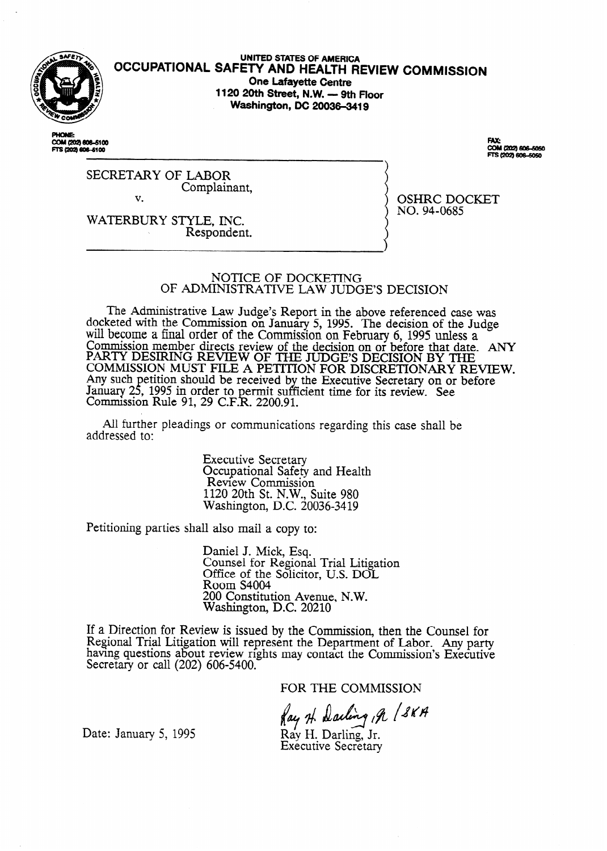

**UNITED STATES OF AMERICA OCCUPATIONAL SAFETY AND HEALTH REVIEW COMMISSION One Lafayette Centre 1120 20th Street, N.W. - 9th Floor Washington, DC 20036-3419** 

COM (202) 606-5100 FTS (202) 606-5100

...<br>COM (202) 606-5050 S12021 BORLEDSO

SECRETARY OF LABOR Complainant, v.

OSHRC DOCKET NO. 94-0685

WATERBURY STYLE, INC. \ Respondent.

## NOTICE OF DOCKETING OF ADMINISTRATIVE LAW JUDGE'S DECISION

The Administrative Law Judge's Report in the above referenced case was docketed with the Commission on January 5, 1995. The decision of the Judge will become a final order of the Commission on February 6, 1995 unless a Commission member directs review of the decision on or before that date. ANY PARTY DESIRING REVIEW OF THE JUDGE'S DECISION BY THE COMMISSION MUST FILE A PETITION FOR DISCRETIONARY REVIEW. Any such January 25, etition should be received by the Executive Secretary on or before , 1995 in order to permit suf k fficient time for its review. See Commission Rule 91, 29 C.F.R. 2200.91.

All further pleadings or communications regarding this case shall be addressed to:

> Executive Secretary Occupational Safety and Health Review Commission 1120 20th St. N.W., Suite 980 Washington, D.C. 20036-34 19

Petitioning parties shall also mail a copy to:

Daniel J. Mick, Esq. Counsel for Regional Trial Litigation Office of the Solicitor, U.S. DOL Room S4004 200 Constitution Avenue, N.W. Washington, DC. 20210

If a Direction for Review is issued by the Commission, then the Counsel for Regional Trial Litigation will represent the Department of Labor. Any party havmg questions about review rights may contact the Commission's Executive Secretary or call (202) 606-5400.

FOR THE COMMISSION

Ray H. Darling , A / SKA

Date: January 5, 1995

Ray H. Darling, Jr. **Executive Secretary**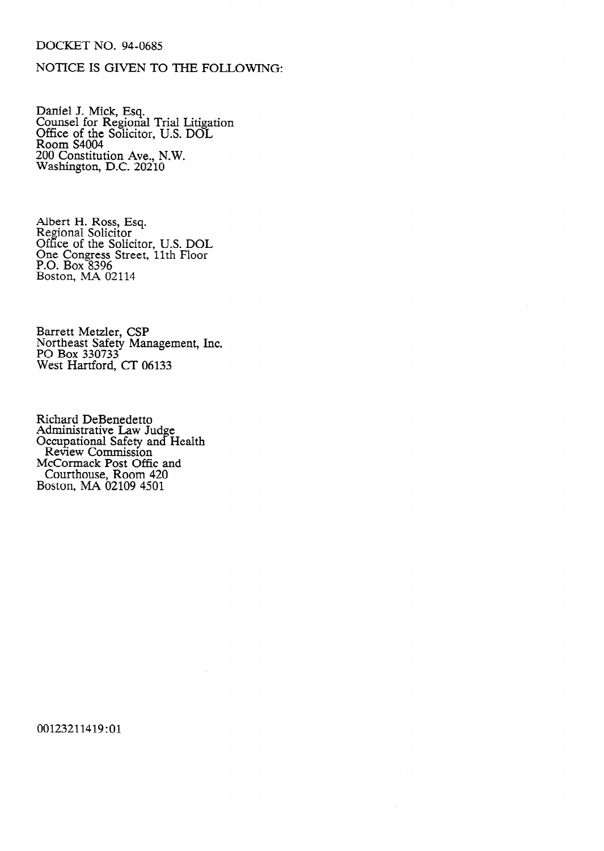## DOCKET NO. 94-0685

## NOTICE IS GIVEN TO THE FOLLOWING:

Balliel J. Mick, Esq. Counsel for Regional Trial Litigation<br>Office of the Solicitor TTS DOL Office of the Solicitor, U.S. DOL ncon Constitut  $W$ ashington, D.C. 20210  $B_{\text{max}}$  decrees the distribution of  $B_{\text{max}}$ 

Regional Solicitor Office of the Soli One Congress Street, 11th Floor P.O. Box  $8396$ Boston, MA 02114

Barrett Metzler, CSP<br>Northeast Safety Management, Inc.<br>PO Box 330733 ru bux 330733<br>West Hartford, CT 06133  $WCSL$  11a1  $UUI$  $U$ ,

Richard DeBenedetto **Committee Department Control** Safety Review Commission McCormack Post Offic and Courthouse, Room Boston, MA 02109 4501

 $\bar{z}$ 

00123211419:01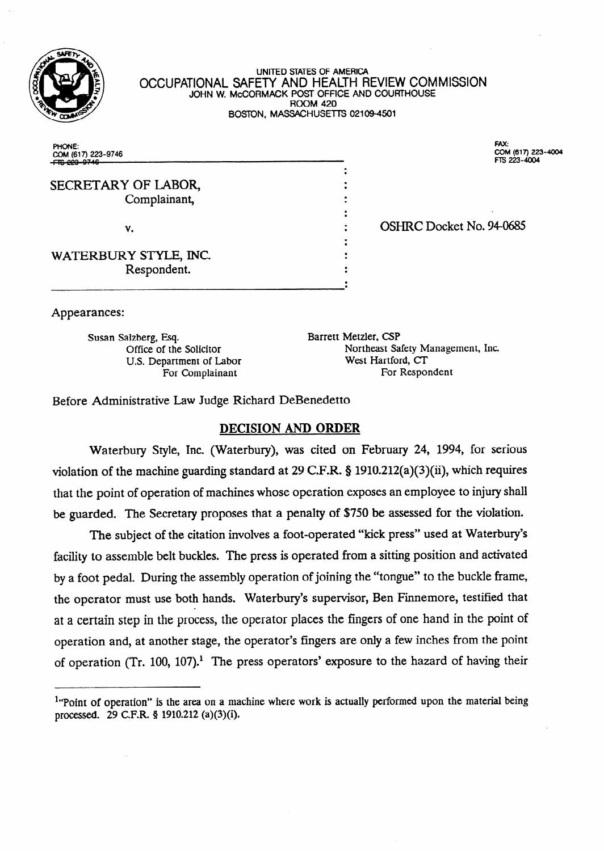

UNITE0 STATES OF AMERICA OCCUPATIONAL SAFETY AND HEALTH REVIEW COMMISSION JOHN W. McCORMACK POST OFFlCE AND COURTHOUSE ROOM 420 BOSTON, MASSACHUSETTS 02109-4501

> $\colon$  $\cdot$  $\bullet$ . . . .  $\cdot$ .  $\bullet$  $\bullet$  $\ddot{\phantom{0}}$ ۰  $\cdot$  $\bullet$ .

PHONE: COM (617) 223-9746

SECRETARY OF LABOR, Complainant,

v.

WATERBURY STYLE, INC. Respondent.

EM: COM (617) 223-4004 FTS 223-4004

OSHRC Docket No. 94-0685

Appearances:

Susan Salzberg, Esq. Barrett Metzler, CSP For Complainant

Office of the Solicitor Northeast Safety Management, Inc.<br>U.S. Department of Labor West Hartford, CT U.S. Department of Labor West Hartford, CT<br>For Complainant For Respondent

Before Administrative Law Judge Richard DeBenedetto

## DECISION AND ORDER

Waterbury Style, Inc. (Waterbury), was cited on February 24, 1994, for serious violation of the machine guarding standard at 29 C.F.R. 8 1910.212(a)(3)(ii), which requires that the point of operation of machines whose operation exposes an employee to injury shall be guarded. The Secretary proposes that a penalty of \$750 be assessed for the violation.

The subject of the citation involves a foot-operated "kick press" used at Waterbury's facility to assemble belt buckles. The press is operated from a sitting position and activated by a foot pedal. During the assembly operation of joining the "tongue" to the buckle frame, the operator must use both hands. Waterbury's supervisor, Ben Finnemore, testified that at a certain step in the process, the operator places the fingers of one hand in the point of operation and, at another stage, the operator's fingers are only a few inches from the point of operation (Tr. 100, 107).<sup>1</sup> The press operators' exposure to the hazard of having their

 $<sup>1</sup>$ "Point of operation" is the area on a machine where work is actually performed upon the material being</sup> processed. 29 C.F.R. § 1910.212 (a)(3)(i).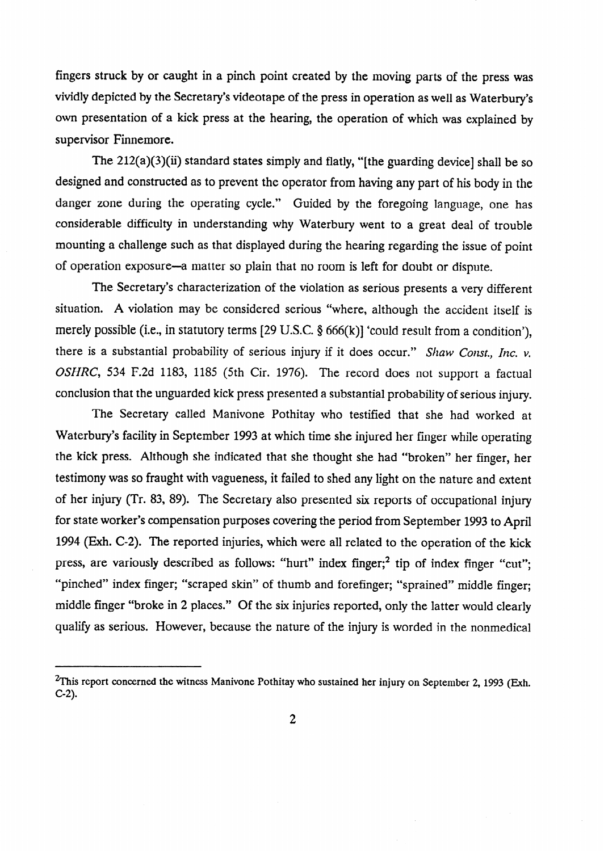fingers struck by or caught in a pinch point created by the moving parts of the press was vividly depicted by the Secretary's videotape of the press in operation as well as Waterbury's own presentation of a kick press at the hearing, the operation of which was explained by supervisor Finnemore.

The  $212(a)(3)(ii)$  standard states simply and flatly, "[the guarding device] shall be so designed and constructed as to prevent the operator from having any part of his body in the danger zone during the operating cycle." Guided by the foregoing language, one has considerable difficulty in understanding why Waterbury went to a great deal of trouble mounting a challenge such as that displayed during the hearing regarding the issue of point of operation exposure-a matter so plain that no room is left for doubt or dispute.

The Secretary's characterization of the violation as serious presents a very different situation. A violation may be considered serious "where, although the accident itself is merely possible (i.e., in statutory terms  $[29 \text{ U.S.C. } §666(k)]$  'could result from a condition'), there is a substantial probability of serious injury if it does occur." Shaw Const., Inc. v. OSHRC, 534 F.2d 1183, 1185 (5th Cir. 1976). The record does not support a factual conclusion that the unguarded kick press presented a substantial probability of serious injury.

The Secretary called Manivone Pothitay who testified that she had worked at Waterbury's facility in September 1993 at which time she injured her finger while operating the kick press. Although she indicated that she thought she had "broken" her finger, her testimony was so fraught with vagueness, it failed to shed any light on the nature and extent of her injury (Tr. 83, 89). The Secretary also presented six reports of occupational injury for state worker's compensation purposes covering the period from September 1993 to April 1994 (Exh. C-2). The reported injuries, which were all related to the operation of the kick press, are variously described as follows: "hurt" index finger;<sup>2</sup> tip of index finger "cut"; "pinched" index finger; "scraped skin" of thumb and forefinger; "sprained" middle finger; middle finger "broke in 2 places." Of the six injuries reported, only the latter would clearly qualify as serious. However, because the nature of the injury is worded in the nonmedical

<sup>&</sup>lt;sup>2</sup>This report concerned the witness Manivone Pothitay who sustained her injury on September 2, 1993 (Exh.  $C-2$ ).